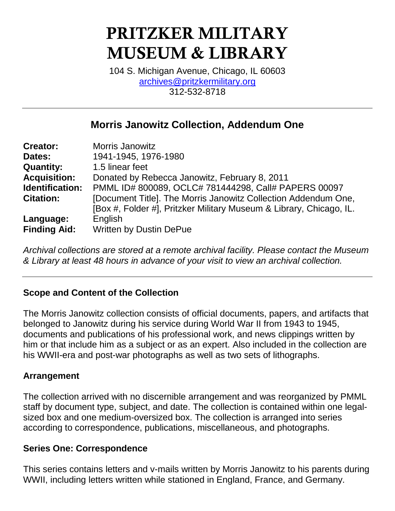# PRITZKER MILITARY MUSEUM & LIBRARY

104 S. Michigan Avenue, Chicago, IL 60603 [archives@pritzkermilitary.org](mailto:archives@pritzkermilitary.org) 312-532-8718

## **Morris Janowitz Collection, Addendum One**

| <b>Creator:</b>     | Morris Janowitz                                                     |
|---------------------|---------------------------------------------------------------------|
| Dates:              | 1941-1945, 1976-1980                                                |
| <b>Quantity:</b>    | 1.5 linear feet                                                     |
| <b>Acquisition:</b> | Donated by Rebecca Janowitz, February 8, 2011                       |
| Identification:     | PMML ID# 800089, OCLC# 781444298, Call# PAPERS 00097                |
| <b>Citation:</b>    | [Document Title]. The Morris Janowitz Collection Addendum One,      |
|                     | [Box #, Folder #], Pritzker Military Museum & Library, Chicago, IL. |
| Language:           | English                                                             |
| <b>Finding Aid:</b> | <b>Written by Dustin DePue</b>                                      |

*Archival collections are stored at a remote archival facility. Please contact the Museum & Library at least 48 hours in advance of your visit to view an archival collection.*

## **Scope and Content of the Collection**

The Morris Janowitz collection consists of official documents, papers, and artifacts that belonged to Janowitz during his service during World War II from 1943 to 1945, documents and publications of his professional work, and news clippings written by him or that include him as a subject or as an expert. Also included in the collection are his WWII-era and post-war photographs as well as two sets of lithographs.

#### **Arrangement**

The collection arrived with no discernible arrangement and was reorganized by PMML staff by document type, subject, and date. The collection is contained within one legalsized box and one medium-oversized box. The collection is arranged into series according to correspondence, publications, miscellaneous, and photographs.

#### **Series One: Correspondence**

This series contains letters and v-mails written by Morris Janowitz to his parents during WWII, including letters written while stationed in England, France, and Germany.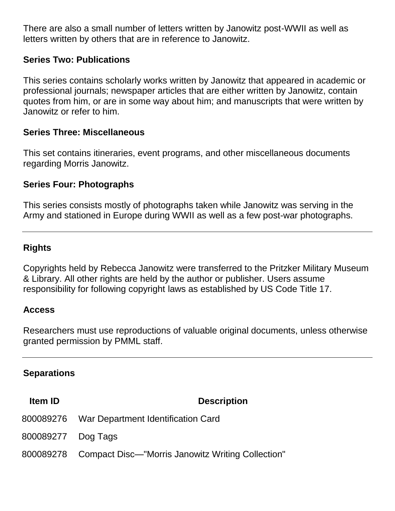There are also a small number of letters written by Janowitz post-WWII as well as letters written by others that are in reference to Janowitz.

#### **Series Two: Publications**

This series contains scholarly works written by Janowitz that appeared in academic or professional journals; newspaper articles that are either written by Janowitz, contain quotes from him, or are in some way about him; and manuscripts that were written by Janowitz or refer to him.

#### **Series Three: Miscellaneous**

This set contains itineraries, event programs, and other miscellaneous documents regarding Morris Janowitz.

#### **Series Four: Photographs**

This series consists mostly of photographs taken while Janowitz was serving in the Army and stationed in Europe during WWII as well as a few post-war photographs.

## **Rights**

Copyrights held by Rebecca Janowitz were transferred to the Pritzker Military Museum & Library. All other rights are held by the author or publisher. Users assume responsibility for following copyright laws as established by US Code Title 17.

#### **Access**

Researchers must use reproductions of valuable original documents, unless otherwise granted permission by PMML staff.

## **Separations**

| <b>Item ID</b>     | <b>Description</b>                                          |
|--------------------|-------------------------------------------------------------|
|                    | 800089276  War Department Identification Card               |
| 800089277 Dog Tags |                                                             |
|                    | 800089278 Compact Disc—"Morris Janowitz Writing Collection" |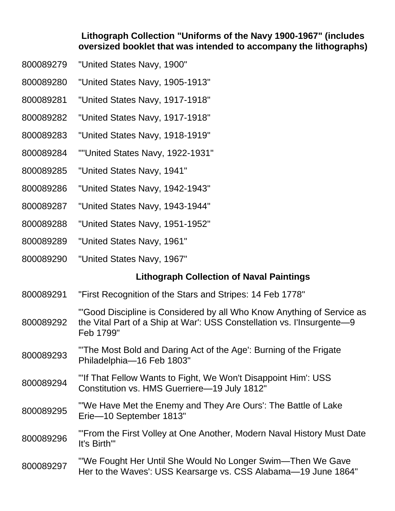#### **Lithograph Collection "Uniforms of the Navy 1900-1967" (includes oversized booklet that was intended to accompany the lithographs)**

- 800089279 "United States Navy, 1900"
- 800089280 "United States Navy, 1905-1913"
- 800089281 "United States Navy, 1917-1918"
- 800089282 "United States Navy, 1917-1918"
- 800089283 "United States Navy, 1918-1919"
- 800089284 ""United States Navy, 1922-1931"
- 800089285 "United States Navy, 1941"
- 800089286 "United States Navy, 1942-1943"
- 800089287 "United States Navy, 1943-1944"
- 800089288 "United States Navy, 1951-1952"
- 800089289 "United States Navy, 1961"
- 800089290 "United States Navy, 1967"

#### **Lithograph Collection of Naval Paintings**

- 800089291 "First Recognition of the Stars and Stripes: 14 Feb 1778"
- 800089292 "'Good Discipline is Considered by all Who Know Anything of Service as the Vital Part of a Ship at War': USS Constellation vs. I'Insurgente—9 Feb 1799"
- <sup>800089293</sup> "'The Most Bold and Daring Act of the Age': Burning of the Frigate Philadelphia—16 Feb 1803"
- <sup>800089294</sup> "'If That Fellow Wants to Fight, We Won't Disappoint Him': USS Constitution vs. HMS Guerriere—19 July 1812"
- 800089295 "We Have Met the Enemy and They Are Ours': The Battle of Lake Erie—10 September 1813"
- 800089296 First Volley at One Another, Modern Naval History Must Date It's Birth'"
- <sup>800089297</sup> "'We Fought Her Until She Would No Longer Swim—Then We Gave Her to the Waves': USS Kearsarge vs. CSS Alabama—19 June 1864"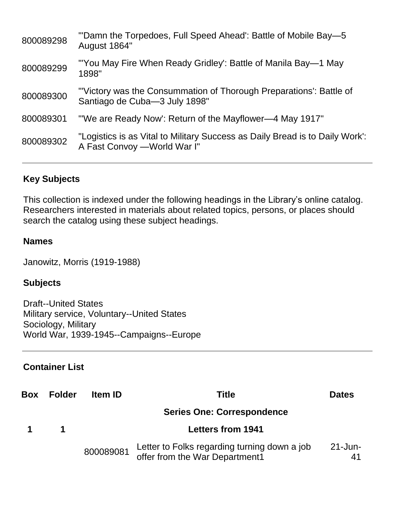| 800089298 | "Damn the Torpedoes, Full Speed Ahead": Battle of Mobile Bay-5<br>August 1864"                               |
|-----------|--------------------------------------------------------------------------------------------------------------|
| 800089299 | "'You May Fire When Ready Gridley': Battle of Manila Bay—1 May<br>1898"                                      |
| 800089300 | "Victory was the Consummation of Thorough Preparations': Battle of<br>Santiago de Cuba-3 July 1898"          |
| 800089301 | "We are Ready Now': Return of the Mayflower—4 May 1917"                                                      |
| 800089302 | "Logistics is as Vital to Military Success as Daily Bread is to Daily Work':<br>A Fast Convoy - World War I" |

## **Key Subjects**

This collection is indexed under the following headings in the Library's online catalog. Researchers interested in materials about related topics, persons, or places should search the catalog using these subject headings.

#### **Names**

Janowitz, Morris (1919-1988)

## **Subjects**

Draft--United States Military service, Voluntary--United States Sociology, Military World War, 1939-1945--Campaigns--Europe

## **Container List**

| <b>Box</b>  | <b>Folder</b> | <b>Item ID</b> | <b>Title</b>                                                                   | <b>Dates</b> |
|-------------|---------------|----------------|--------------------------------------------------------------------------------|--------------|
|             |               |                | <b>Series One: Correspondence</b>                                              |              |
| $\mathbf 1$ | $\mathbf 1$   |                | <b>Letters from 1941</b>                                                       |              |
|             |               | 800089081      | Letter to Folks regarding turning down a job<br>offer from the War Department1 | $21$ -Jun-   |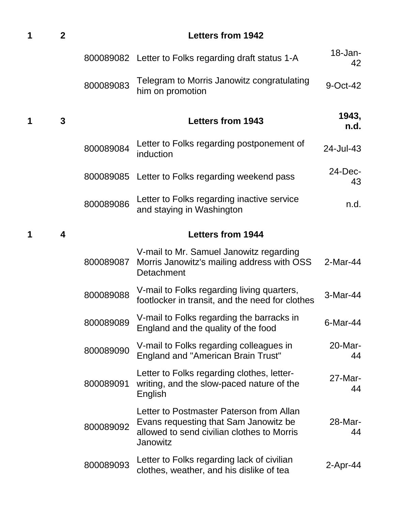| 1 | $\mathbf 2$             |           | <b>Letters from 1942</b>                                                                                                                    |                   |
|---|-------------------------|-----------|---------------------------------------------------------------------------------------------------------------------------------------------|-------------------|
|   |                         |           | 800089082 Letter to Folks regarding draft status 1-A                                                                                        | $18 - Jan-$<br>42 |
|   |                         | 800089083 | Telegram to Morris Janowitz congratulating<br>him on promotion                                                                              | 9-Oct-42          |
|   | 3                       |           | <b>Letters from 1943</b>                                                                                                                    | 1943,<br>n.d.     |
|   |                         | 800089084 | Letter to Folks regarding postponement of<br>induction                                                                                      | 24-Jul-43         |
|   |                         | 800089085 | Letter to Folks regarding weekend pass                                                                                                      | 24-Dec-<br>43     |
|   |                         | 800089086 | Letter to Folks regarding inactive service<br>and staying in Washington                                                                     | n.d.              |
| 1 | $\overline{\mathbf{4}}$ |           | <b>Letters from 1944</b>                                                                                                                    |                   |
|   |                         | 800089087 | V-mail to Mr. Samuel Janowitz regarding<br>Morris Janowitz's mailing address with OSS<br>Detachment                                         | 2-Mar-44          |
|   |                         | 800089088 | V-mail to Folks regarding living quarters,<br>footlocker in transit, and the need for clothes                                               | 3-Mar-44          |
|   |                         | 800089089 | V-mail to Folks regarding the barracks in<br>England and the quality of the food                                                            | 6-Mar-44          |
|   |                         | 800089090 | V-mail to Folks regarding colleagues in<br><b>England and "American Brain Trust"</b>                                                        | 20-Mar-<br>44     |
|   |                         | 800089091 | Letter to Folks regarding clothes, letter-<br>writing, and the slow-paced nature of the<br>English                                          | $27$ -Mar-<br>44  |
|   |                         | 800089092 | Letter to Postmaster Paterson from Allan<br>Evans requesting that Sam Janowitz be<br>allowed to send civilian clothes to Morris<br>Janowitz | 28-Mar-<br>44     |
|   |                         | 800089093 | Letter to Folks regarding lack of civilian<br>clothes, weather, and his dislike of tea                                                      | $2$ -Apr-44       |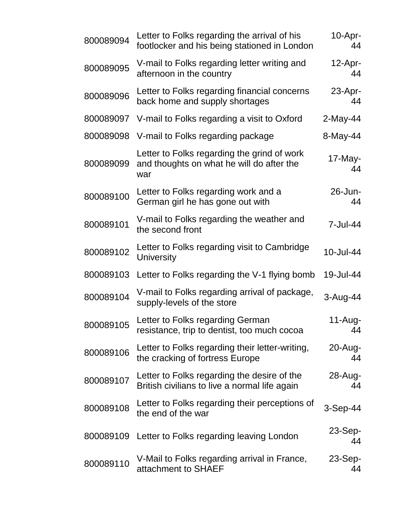| 800089094 | Letter to Folks regarding the arrival of his<br>footlocker and his being stationed in London    | 10-Apr-<br>44    |
|-----------|-------------------------------------------------------------------------------------------------|------------------|
| 800089095 | V-mail to Folks regarding letter writing and<br>afternoon in the country                        | $12$ -Apr-<br>44 |
| 800089096 | Letter to Folks regarding financial concerns<br>back home and supply shortages                  | $23$ -Apr-<br>44 |
| 800089097 | V-mail to Folks regarding a visit to Oxford                                                     | $2$ -May-44      |
| 800089098 | V-mail to Folks regarding package                                                               | 8-May-44         |
| 800089099 | Letter to Folks regarding the grind of work<br>and thoughts on what he will do after the<br>war | 17-May-<br>44    |
| 800089100 | Letter to Folks regarding work and a<br>German girl he has gone out with                        | 26-Jun-<br>44    |
| 800089101 | V-mail to Folks regarding the weather and<br>the second front                                   | 7-Jul-44         |
| 800089102 | Letter to Folks regarding visit to Cambridge<br><b>University</b>                               | 10-Jul-44        |
| 800089103 | Letter to Folks regarding the V-1 flying bomb                                                   | 19-Jul-44        |
| 800089104 | V-mail to Folks regarding arrival of package,<br>supply-levels of the store                     | $3 - Aug-44$     |
| 800089105 | Letter to Folks regarding German<br>resistance, trip to dentist, too much cocoa                 | 11-Aug-<br>44    |
| 800089106 | Letter to Folks regarding their letter-writing,<br>the cracking of fortress Europe              | 20-Aug-<br>44    |
| 800089107 | Letter to Folks regarding the desire of the<br>British civilians to live a normal life again    | 28-Aug-<br>44    |
| 800089108 | Letter to Folks regarding their perceptions of<br>the end of the war                            | $3-Sep-44$       |
| 800089109 | Letter to Folks regarding leaving London                                                        | $23-Sep-$<br>44  |
| 800089110 | V-Mail to Folks regarding arrival in France,<br>attachment to SHAEF                             | $23-Sep-$<br>44  |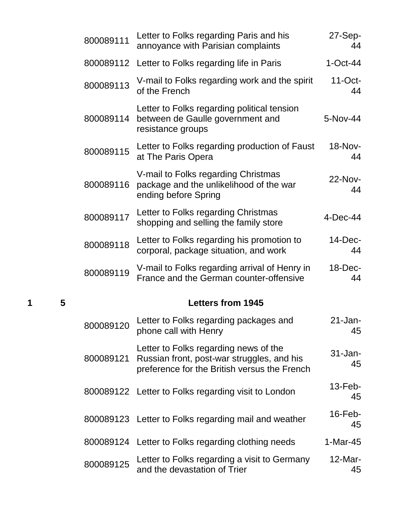|   |   | 800089111 | Letter to Folks regarding Paris and his<br>annoyance with Parisian complaints                                                       | 27-Sep-<br>44     |
|---|---|-----------|-------------------------------------------------------------------------------------------------------------------------------------|-------------------|
|   |   |           | 800089112 Letter to Folks regarding life in Paris                                                                                   | $1-Oct-44$        |
|   |   | 800089113 | V-mail to Folks regarding work and the spirit<br>of the French                                                                      | $11$ -Oct-<br>44  |
|   |   | 800089114 | Letter to Folks regarding political tension<br>between de Gaulle government and<br>resistance groups                                | 5-Nov-44          |
|   |   | 800089115 | Letter to Folks regarding production of Faust<br>at The Paris Opera                                                                 | 18-Nov-<br>44     |
|   |   | 800089116 | V-mail to Folks regarding Christmas<br>package and the unlikelihood of the war<br>ending before Spring                              | 22-Nov-<br>44     |
|   |   | 800089117 | Letter to Folks regarding Christmas<br>shopping and selling the family store                                                        | $4$ -Dec-44       |
|   |   | 800089118 | Letter to Folks regarding his promotion to<br>corporal, package situation, and work                                                 | $14$ -Dec-<br>44  |
|   |   | 800089119 | V-mail to Folks regarding arrival of Henry in<br>France and the German counter-offensive                                            | 18-Dec-<br>44     |
| 1 | 5 |           | <b>Letters from 1945</b>                                                                                                            |                   |
|   |   | 800089120 | Letter to Folks regarding packages and<br>phone call with Henry                                                                     | 21-Jan-<br>45     |
|   |   | 800089121 | Letter to Folks regarding news of the<br>Russian front, post-war struggles, and his<br>preference for the British versus the French | $31 - Jan-$<br>45 |
|   |   |           | 800089122 Letter to Folks regarding visit to London                                                                                 | $13$ -Feb-<br>45  |
|   |   |           | 800089123 Letter to Folks regarding mail and weather                                                                                | $16$ -Feb-<br>45  |
|   |   |           | 800089124 Letter to Folks regarding clothing needs                                                                                  | 1-Mar-45          |
|   |   | 800089125 | Letter to Folks regarding a visit to Germany                                                                                        | $12$ -Mar-        |
|   |   |           | and the devastation of Trier                                                                                                        | 45                |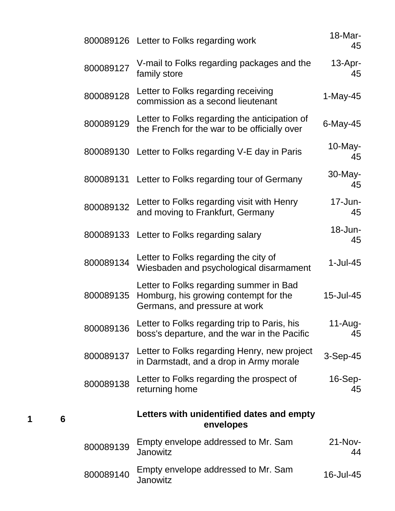|           | 800089126 Letter to Folks regarding work                                                                          | 18-Mar-<br>45    |
|-----------|-------------------------------------------------------------------------------------------------------------------|------------------|
| 800089127 | V-mail to Folks regarding packages and the<br>family store                                                        | $13$ -Apr-<br>45 |
| 800089128 | Letter to Folks regarding receiving<br>commission as a second lieutenant                                          | $1-May-45$       |
| 800089129 | Letter to Folks regarding the anticipation of<br>the French for the war to be officially over                     | 6-May-45         |
| 800089130 | Letter to Folks regarding V-E day in Paris                                                                        | $10$ -May-<br>45 |
| 800089131 | Letter to Folks regarding tour of Germany                                                                         | $30$ -May-<br>45 |
| 800089132 | Letter to Folks regarding visit with Henry<br>and moving to Frankfurt, Germany                                    | $17$ -Jun-<br>45 |
| 800089133 | Letter to Folks regarding salary                                                                                  | 18-Jun-<br>45    |
| 800089134 | Letter to Folks regarding the city of<br>Wiesbaden and psychological disarmament                                  | $1-Jul-45$       |
| 800089135 | Letter to Folks regarding summer in Bad<br>Homburg, his growing contempt for the<br>Germans, and pressure at work | 15-Jul-45        |
| 800089136 | Letter to Folks regarding trip to Paris, his<br>boss's departure, and the war in the Pacific                      | $11-Aug-$<br>45  |
| 800089137 | Letter to Folks regarding Henry, new project<br>in Darmstadt, and a drop in Army morale                           | $3-Sep-45$       |
| 800089138 | Letter to Folks regarding the prospect of<br>returning home                                                       | $16-Sep-$<br>45  |
|           | Letters with unidentified dates and empty<br>envelopes                                                            |                  |
| 800089139 | Empty envelope addressed to Mr. Sam<br>Janowitz                                                                   | $21-Nov-$<br>44  |
| 800089140 | Empty envelope addressed to Mr. Sam<br>Janowitz                                                                   | 16-Jul-45        |

**1 6**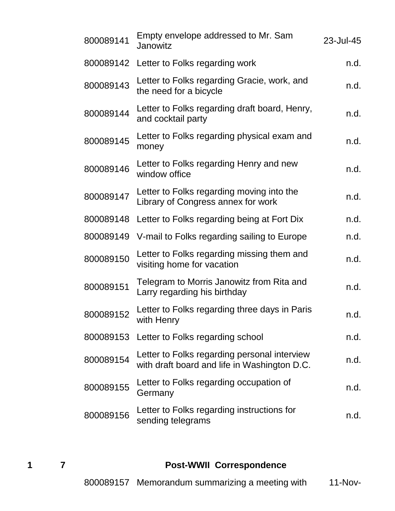| 800089141 | Empty envelope addressed to Mr. Sam<br><b>Janowitz</b>                                       | 23-Jul-45 |
|-----------|----------------------------------------------------------------------------------------------|-----------|
| 800089142 | Letter to Folks regarding work                                                               | n.d.      |
| 800089143 | Letter to Folks regarding Gracie, work, and<br>the need for a bicycle                        | n.d.      |
| 800089144 | Letter to Folks regarding draft board, Henry,<br>and cocktail party                          | n.d.      |
| 800089145 | Letter to Folks regarding physical exam and<br>money                                         | n.d.      |
| 800089146 | Letter to Folks regarding Henry and new<br>window office                                     | n.d.      |
| 800089147 | Letter to Folks regarding moving into the<br>Library of Congress annex for work              | n.d.      |
| 800089148 | Letter to Folks regarding being at Fort Dix                                                  | n.d.      |
| 800089149 | V-mail to Folks regarding sailing to Europe                                                  | n.d.      |
| 800089150 | Letter to Folks regarding missing them and<br>visiting home for vacation                     | n.d.      |
| 800089151 | Telegram to Morris Janowitz from Rita and<br>Larry regarding his birthday                    | n.d.      |
| 800089152 | Letter to Folks regarding three days in Paris<br>with Henry                                  | n.d.      |
| 800089153 | Letter to Folks regarding school                                                             | n.d.      |
| 800089154 | Letter to Folks regarding personal interview<br>with draft board and life in Washington D.C. | n.d.      |
| 800089155 | Letter to Folks regarding occupation of<br>Germany                                           | n.d.      |
| 800089156 | Letter to Folks regarding instructions for<br>sending telegrams                              | n.d.      |

**1 7 Post-WWII Correspondence**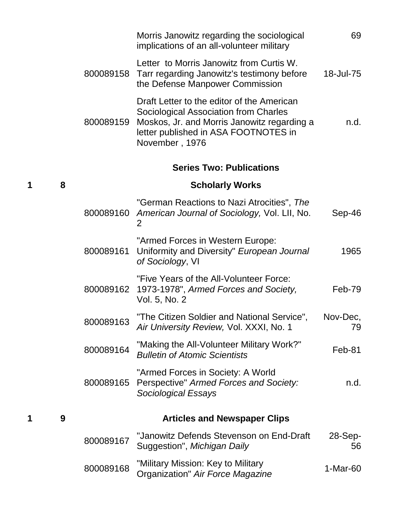|   |   |           | Morris Janowitz regarding the sociological<br>implications of an all-volunteer military                                                                                                      | 69              |
|---|---|-----------|----------------------------------------------------------------------------------------------------------------------------------------------------------------------------------------------|-----------------|
|   |   | 800089158 | Letter to Morris Janowitz from Curtis W.<br>Tarr regarding Janowitz's testimony before<br>the Defense Manpower Commission                                                                    | 18-Jul-75       |
|   |   | 800089159 | Draft Letter to the editor of the American<br>Sociological Association from Charles<br>Moskos, Jr. and Morris Janowitz regarding a<br>letter published in ASA FOOTNOTES in<br>November, 1976 | n.d.            |
|   |   |           | <b>Series Two: Publications</b>                                                                                                                                                              |                 |
| 1 | 8 |           | <b>Scholarly Works</b>                                                                                                                                                                       |                 |
|   |   | 800089160 | "German Reactions to Nazi Atrocities", The<br>American Journal of Sociology, Vol. LII, No.<br>2                                                                                              | $Sep-46$        |
|   |   | 800089161 | "Armed Forces in Western Europe:<br>Uniformity and Diversity" European Journal<br>of Sociology, VI                                                                                           | 1965            |
|   |   | 800089162 | "Five Years of the All-Volunteer Force:<br>1973-1978", Armed Forces and Society,<br>Vol. 5, No. 2                                                                                            | Feb-79          |
|   |   | 800089163 | "The Citizen Soldier and National Service",<br>Air University Review, Vol. XXXI, No. 1                                                                                                       | Nov-Dec,<br>79  |
|   |   | 800089164 | "Making the All-Volunteer Military Work?"<br><b>Bulletin of Atomic Scientists</b>                                                                                                            | Feb-81          |
|   |   | 800089165 | "Armed Forces in Society: A World<br>Perspective" Armed Forces and Society:<br>Sociological Essays                                                                                           | n.d.            |
| 1 | 9 |           | <b>Articles and Newspaper Clips</b>                                                                                                                                                          |                 |
|   |   | 800089167 | "Janowitz Defends Stevenson on End-Draft<br>Suggestion", Michigan Daily                                                                                                                      | $28-Sep-$<br>56 |
|   |   | 800089168 | "Military Mission: Key to Military<br>Organization" Air Force Magazine                                                                                                                       | $1-Mar-60$      |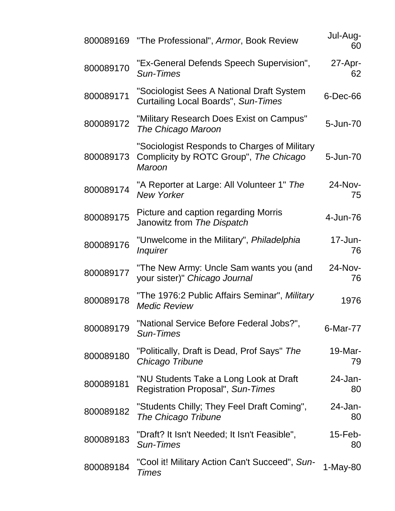| 800089169 | "The Professional", Armor, Book Review                                                           | Jul-Aug-<br>60   |
|-----------|--------------------------------------------------------------------------------------------------|------------------|
| 800089170 | "Ex-General Defends Speech Supervision",<br>Sun-Times                                            | $27$ -Apr-<br>62 |
| 800089171 | "Sociologist Sees A National Draft System<br>Curtailing Local Boards", Sun-Times                 | $6$ -Dec-66      |
| 800089172 | "Military Research Does Exist on Campus"<br>The Chicago Maroon                                   | 5-Jun-70         |
| 800089173 | "Sociologist Responds to Charges of Military<br>Complicity by ROTC Group", The Chicago<br>Maroon | 5-Jun-70         |
| 800089174 | "A Reporter at Large: All Volunteer 1" The<br><b>New Yorker</b>                                  | 24-Nov-<br>75    |
| 800089175 | Picture and caption regarding Morris<br>Janowitz from The Dispatch                               | 4-Jun-76         |
| 800089176 | "Unwelcome in the Military", Philadelphia<br><i>Inquirer</i>                                     | $17$ -Jun-<br>76 |
| 800089177 | "The New Army: Uncle Sam wants you (and<br>your sister)" Chicago Journal                         | 24-Nov-<br>76    |
| 800089178 | "The 1976:2 Public Affairs Seminar", Military<br><b>Medic Review</b>                             | 1976             |
| 800089179 | "National Service Before Federal Jobs?",<br>Sun-Times                                            | 6-Mar-77         |
| 800089180 | "Politically, Draft is Dead, Prof Says" The<br>Chicago Tribune                                   | $19$ -Mar-<br>79 |
| 800089181 | "NU Students Take a Long Look at Draft<br>Registration Proposal", Sun-Times                      | $24$ -Jan-<br>80 |
| 800089182 | "Students Chilly; They Feel Draft Coming",<br><b>The Chicago Tribune</b>                         | $24$ -Jan-<br>80 |
| 800089183 | "Draft? It Isn't Needed; It Isn't Feasible",<br>Sun-Times                                        | $15$ -Feb-<br>80 |
| 800089184 | "Cool it! Military Action Can't Succeed", Sun-<br>Times                                          | $1-May-80$       |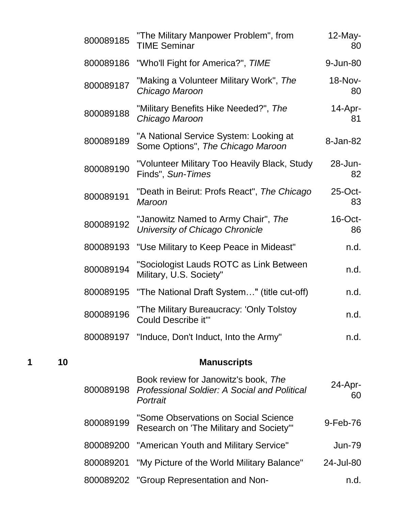|   |    | 800089185 | "The Military Manpower Problem", from<br><b>TIME Seminar</b>                                            | $12$ -May-<br>80 |
|---|----|-----------|---------------------------------------------------------------------------------------------------------|------------------|
|   |    | 800089186 | "Who'll Fight for America?", TIME                                                                       | 9-Jun-80         |
|   |    | 800089187 | "Making a Volunteer Military Work", The<br>Chicago Maroon                                               | 18-Nov-<br>80    |
|   |    | 800089188 | "Military Benefits Hike Needed?", The<br>Chicago Maroon                                                 | $14$ -Apr-<br>81 |
|   |    | 800089189 | "A National Service System: Looking at<br>Some Options", The Chicago Maroon                             | 8-Jan-82         |
|   |    | 800089190 | "Volunteer Military Too Heavily Black, Study<br>Finds", Sun-Times                                       | 28-Jun-<br>82    |
|   |    | 800089191 | "Death in Beirut: Profs React", The Chicago<br>Maroon                                                   | $25$ -Oct-<br>83 |
|   |    | 800089192 | "Janowitz Named to Army Chair", The<br>University of Chicago Chronicle                                  | $16$ -Oct-<br>86 |
|   |    | 800089193 | "Use Military to Keep Peace in Mideast"                                                                 | n.d.             |
|   |    | 800089194 | "Sociologist Lauds ROTC as Link Between<br>Military, U.S. Society"                                      | n.d.             |
|   |    | 800089195 | "The National Draft System" (title cut-off)                                                             | n.d.             |
|   |    | 800089196 | "The Military Bureaucracy: 'Only Tolstoy<br>Could Describe it"                                          | n.d.             |
|   |    |           | 800089197 "Induce, Don't Induct, Into the Army"                                                         | n.d.             |
| 1 | 10 |           | <b>Manuscripts</b>                                                                                      |                  |
|   |    | 800089198 | Book review for Janowitz's book, The<br><b>Professional Soldier: A Social and Political</b><br>Portrait | 24-Apr-<br>60    |
|   |    | 800089199 | "Some Observations on Social Science<br>Research on 'The Military and Society'"                         | 9-Feb-76         |
|   |    | 800089200 | "American Youth and Military Service"                                                                   | <b>Jun-79</b>    |
|   |    | 800089201 | "My Picture of the World Military Balance"                                                              | 24-Jul-80        |
|   |    | 800089202 | "Group Representation and Non-                                                                          | n.d.             |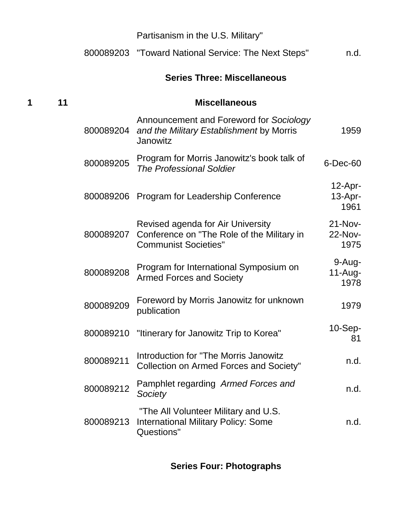|         |           | Partisanism in the U.S. Military"                                                                              |                                  |
|---------|-----------|----------------------------------------------------------------------------------------------------------------|----------------------------------|
|         |           | 800089203 "Toward National Service: The Next Steps"                                                            | n.d.                             |
|         |           | <b>Series Three: Miscellaneous</b>                                                                             |                                  |
| 1<br>11 |           | <b>Miscellaneous</b>                                                                                           |                                  |
|         | 800089204 | Announcement and Foreword for Sociology<br>and the Military Establishment by Morris<br>Janowitz                | 1959                             |
|         | 800089205 | Program for Morris Janowitz's book talk of<br><b>The Professional Soldier</b>                                  | $6$ -Dec-60                      |
|         | 800089206 | Program for Leadership Conference                                                                              | $12$ -Apr-<br>13-Apr-<br>1961    |
|         | 800089207 | Revised agenda for Air University<br>Conference on "The Role of the Military in<br><b>Communist Societies"</b> | $21-Nov-$<br>22-Nov-<br>1975     |
|         | 800089208 | Program for International Symposium on<br><b>Armed Forces and Society</b>                                      | $9 - Aug -$<br>$11-Aug-$<br>1978 |
|         | 800089209 | Foreword by Morris Janowitz for unknown<br>publication                                                         | 1979                             |
|         |           | 800089210 "Itinerary for Janowitz Trip to Korea"                                                               | $10-Sep-$<br>81                  |
|         | 800089211 | Introduction for "The Morris Janowitz<br>Collection on Armed Forces and Society"                               | n.d.                             |
|         | 800089212 | Pamphlet regarding Armed Forces and<br>Society                                                                 | n.d.                             |
|         | 800089213 | "The All Volunteer Military and U.S.<br><b>International Military Policy: Some</b><br>Questions"               | n.d.                             |

**Series Four: Photographs**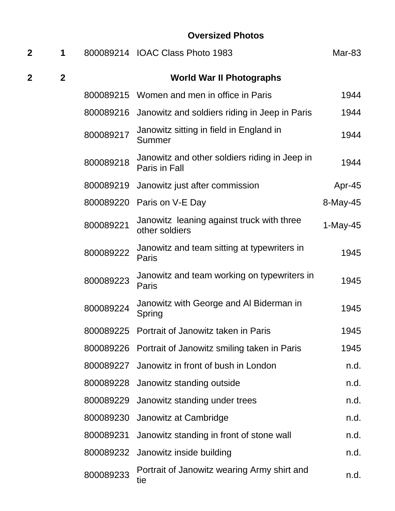| 2              | 1              |           | 800089214 IOAC Class Photo 1983                                | Mar-83     |
|----------------|----------------|-----------|----------------------------------------------------------------|------------|
| $\overline{2}$ | $\overline{2}$ |           | <b>World War II Photographs</b>                                |            |
|                |                |           | 800089215 Women and men in office in Paris                     | 1944       |
|                |                | 800089216 | Janowitz and soldiers riding in Jeep in Paris                  | 1944       |
|                |                | 800089217 | Janowitz sitting in field in England in<br>Summer              | 1944       |
|                |                | 800089218 | Janowitz and other soldiers riding in Jeep in<br>Paris in Fall | 1944       |
|                |                | 800089219 | Janowitz just after commission                                 | Apr-45     |
|                |                | 800089220 | Paris on V-E Day                                               | 8-May-45   |
|                |                | 800089221 | Janowitz leaning against truck with three<br>other soldiers    | $1-May-45$ |
|                |                | 800089222 | Janowitz and team sitting at typewriters in<br>Paris           | 1945       |
|                |                | 800089223 | Janowitz and team working on typewriters in<br>Paris           | 1945       |
|                |                | 800089224 | Janowitz with George and Al Biderman in<br>Spring              | 1945       |
|                |                | 800089225 | Portrait of Janowitz taken in Paris                            | 1945       |
|                |                | 800089226 | Portrait of Janowitz smiling taken in Paris                    | 1945       |
|                |                | 800089227 | Janowitz in front of bush in London                            | n.d.       |
|                |                |           | 800089228 Janowitz standing outside                            | n.d.       |
|                |                | 800089229 | Janowitz standing under trees                                  | n.d.       |
|                |                | 800089230 | Janowitz at Cambridge                                          | n.d.       |
|                |                | 800089231 | Janowitz standing in front of stone wall                       | n.d.       |
|                |                | 800089232 | Janowitz inside building                                       | n.d.       |
|                |                | 800089233 | Portrait of Janowitz wearing Army shirt and<br>tie             | n.d.       |

## **Oversized Photos**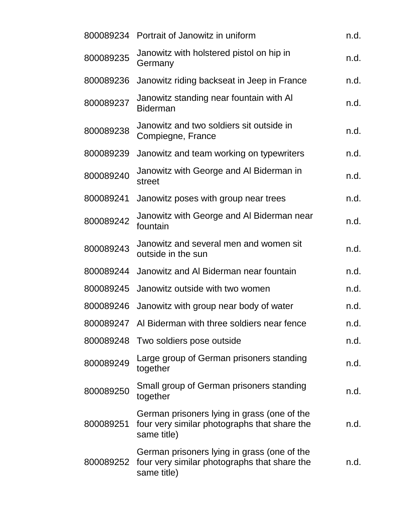|           | 800089234 Portrait of Janowitz in uniform                                                                  | n.d. |
|-----------|------------------------------------------------------------------------------------------------------------|------|
| 800089235 | Janowitz with holstered pistol on hip in<br>Germany                                                        | n.d. |
| 800089236 | Janowitz riding backseat in Jeep in France                                                                 | n.d. |
| 800089237 | Janowitz standing near fountain with Al<br><b>Biderman</b>                                                 | n.d. |
| 800089238 | Janowitz and two soldiers sit outside in<br>Compiegne, France                                              | n.d. |
| 800089239 | Janowitz and team working on typewriters                                                                   | n.d. |
| 800089240 | Janowitz with George and Al Biderman in<br>street                                                          | n.d. |
| 800089241 | Janowitz poses with group near trees                                                                       | n.d. |
| 800089242 | Janowitz with George and AI Biderman near<br>fountain                                                      | n.d. |
| 800089243 | Janowitz and several men and women sit<br>outside in the sun                                               | n.d. |
| 800089244 | Janowitz and AI Biderman near fountain                                                                     | n.d. |
| 800089245 | Janowitz outside with two women                                                                            | n.d. |
| 800089246 | Janowitz with group near body of water                                                                     | n.d. |
|           | 800089247 Al Biderman with three soldiers near fence                                                       | n.d. |
|           | 800089248 Two soldiers pose outside                                                                        | n.d. |
| 800089249 | Large group of German prisoners standing<br>together                                                       | n.d. |
| 800089250 | Small group of German prisoners standing<br>together                                                       | n.d. |
| 800089251 | German prisoners lying in grass (one of the<br>four very similar photographs that share the<br>same title) | n.d. |
| 800089252 | German prisoners lying in grass (one of the<br>four very similar photographs that share the<br>same title) | n.d. |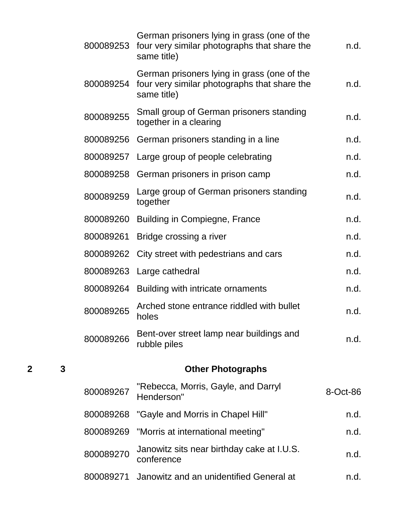|   |   | 800089253 | German prisoners lying in grass (one of the<br>four very similar photographs that share the<br>same title) | n.d.     |
|---|---|-----------|------------------------------------------------------------------------------------------------------------|----------|
|   |   | 800089254 | German prisoners lying in grass (one of the<br>four very similar photographs that share the<br>same title) | n.d.     |
|   |   | 800089255 | Small group of German prisoners standing<br>together in a clearing                                         | n.d.     |
|   |   | 800089256 | German prisoners standing in a line                                                                        | n.d.     |
|   |   | 800089257 | Large group of people celebrating                                                                          | n.d.     |
|   |   | 800089258 | German prisoners in prison camp                                                                            | n.d.     |
|   |   | 800089259 | Large group of German prisoners standing<br>together                                                       | n.d.     |
|   |   | 800089260 | <b>Building in Compiegne, France</b>                                                                       | n.d.     |
|   |   | 800089261 | Bridge crossing a river                                                                                    | n.d.     |
|   |   | 800089262 | City street with pedestrians and cars                                                                      | n.d.     |
|   |   | 800089263 | Large cathedral                                                                                            | n.d.     |
|   |   | 800089264 | Building with intricate ornaments                                                                          | n.d.     |
|   |   | 800089265 | Arched stone entrance riddled with bullet<br>holes                                                         | n.d.     |
|   |   | 800089266 | Bent-over street lamp near buildings and<br>rubble piles                                                   | n.d.     |
| 2 | 3 |           | <b>Other Photographs</b>                                                                                   |          |
|   |   | 800089267 | "Rebecca, Morris, Gayle, and Darryl<br>Henderson"                                                          | 8-Oct-86 |
|   |   | 800089268 | "Gayle and Morris in Chapel Hill"                                                                          | n.d.     |
|   |   | 800089269 | "Morris at international meeting"                                                                          | n.d.     |
|   |   | 800089270 | Janowitz sits near birthday cake at I.U.S.<br>conference                                                   | n.d.     |
|   |   | 800089271 | Janowitz and an unidentified General at                                                                    | n.d.     |
|   |   |           |                                                                                                            |          |